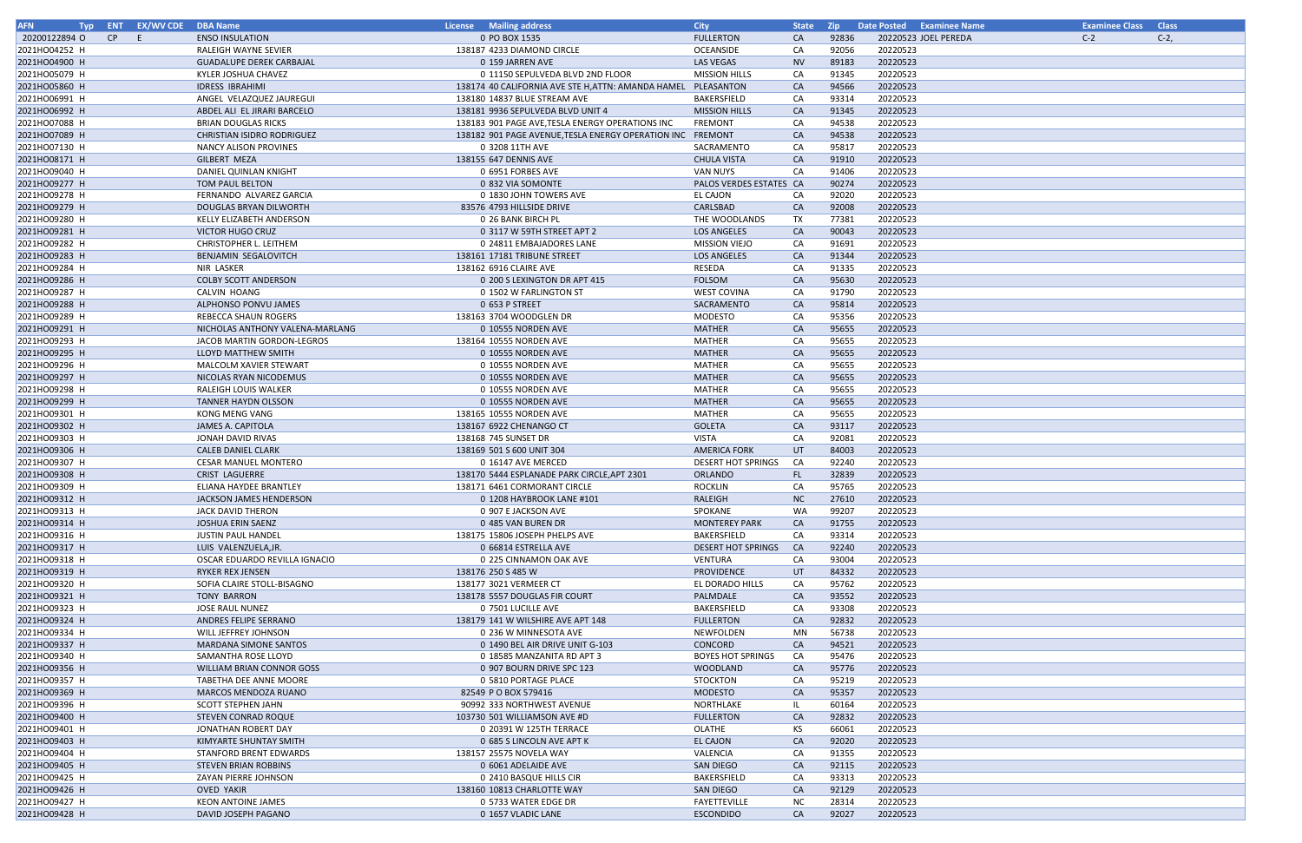| <b>AFN</b><br>Typ |    | <b>ENT EX/WV CDE DBA Name</b> |                                 | <b>License</b> Mailing address                             | <b>City</b>               | <b>State</b> | Zip 2 | Date Posted Examinee Name | <b>Examinee Class Class</b> |         |
|-------------------|----|-------------------------------|---------------------------------|------------------------------------------------------------|---------------------------|--------------|-------|---------------------------|-----------------------------|---------|
| 20200122894 O     | CP | E.                            | <b>ENSO INSULATION</b>          | 0 PO BOX 1535                                              | <b>FULLERTON</b>          | CA           | 92836 | 20220523 JOEL PEREDA      | $C-2$                       | $C-2$ , |
| 2021HO04252 H     |    |                               | <b>RALEIGH WAYNE SEVIER</b>     | 138187 4233 DIAMOND CIRCLE                                 | OCEANSIDE                 | CA           | 92056 | 20220523                  |                             |         |
| 2021HO04900 H     |    |                               | <b>GUADALUPE DEREK CARBAJAL</b> | 0 159 JARREN AVE                                           | LAS VEGAS                 | <b>NV</b>    | 89183 | 20220523                  |                             |         |
| 2021HO05079 H     |    |                               | KYLER JOSHUA CHAVEZ             | 0 11150 SEPULVEDA BLVD 2ND FLOOR                           | <b>MISSION HILLS</b>      | CA           | 91345 | 20220523                  |                             |         |
| 2021HO05860 H     |    |                               | <b>IDRESS IBRAHIMI</b>          | 138174 40 CALIFORNIA AVE STE H, ATTN: AMANDA HAMEL         | PLEASANTON                | CA           | 94566 | 20220523                  |                             |         |
| 2021HO06991 H     |    |                               | ANGEL VELAZQUEZ JAUREGUI        | 138180 14837 BLUE STREAM AVE                               | BAKERSFIELD               | CA           | 93314 | 20220523                  |                             |         |
|                   |    |                               |                                 |                                                            |                           |              |       |                           |                             |         |
| 2021HO06992 H     |    |                               | ABDEL ALI EL JIRARI BARCELO     | 138181 9936 SEPULVEDA BLVD UNIT 4                          | <b>MISSION HILLS</b>      | CA           | 91345 | 20220523                  |                             |         |
| 2021HO07088 H     |    |                               | <b>BRIAN DOUGLAS RICKS</b>      | 138183 901 PAGE AVE, TESLA ENERGY OPERATIONS INC           | <b>FREMONT</b>            | CA           | 94538 | 20220523                  |                             |         |
| 2021HO07089 H     |    |                               | CHRISTIAN ISIDRO RODRIGUEZ      | 138182 901 PAGE AVENUE, TESLA ENERGY OPERATION INC FREMONT |                           | CA           | 94538 | 20220523                  |                             |         |
| 2021HO07130 H     |    |                               | <b>NANCY ALISON PROVINES</b>    | 0 3208 11TH AVE                                            | SACRAMENTO                | CA           | 95817 | 20220523                  |                             |         |
| 2021HO08171 H     |    |                               | GILBERT MEZA                    | 138155 647 DENNIS AVE                                      | <b>CHULA VISTA</b>        | CA           | 91910 | 20220523                  |                             |         |
| 2021HO09040 H     |    |                               | DANIEL QUINLAN KNIGHT           | 0 6951 FORBES AVE                                          | VAN NUYS                  | CA           | 91406 | 20220523                  |                             |         |
| 2021HO09277 H     |    |                               | TOM PAUL BELTON                 | 0 832 VIA SOMONTE                                          | PALOS VERDES ESTATES CA   |              | 90274 | 20220523                  |                             |         |
| 2021HO09278 H     |    |                               | FERNANDO ALVAREZ GARCIA         | 0 1830 JOHN TOWERS AVE                                     | EL CAJON                  | CA           | 92020 | 20220523                  |                             |         |
| 2021HO09279 H     |    |                               | DOUGLAS BRYAN DILWORTH          | 83576 4793 HILLSIDE DRIVE                                  | CARLSBAD                  | CA           | 92008 | 20220523                  |                             |         |
| 2021HO09280 H     |    |                               | KELLY ELIZABETH ANDERSON        | 0 26 BANK BIRCH PL                                         | THE WOODLANDS             | TX           | 77381 | 20220523                  |                             |         |
| 2021HO09281 H     |    |                               | VICTOR HUGO CRUZ                | 0 3117 W 59TH STREET APT 2                                 | LOS ANGELES               | CA           | 90043 | 20220523                  |                             |         |
| 2021HO09282 H     |    |                               | CHRISTOPHER L. LEITHEM          | 0 24811 EMBAJADORES LANE                                   | <b>MISSION VIEJO</b>      | CA           | 91691 | 20220523                  |                             |         |
| 2021HO09283 H     |    |                               | BENJAMIN SEGALOVITCH            | 138161 17181 TRIBUNE STREET                                | LOS ANGELES               | CA           | 91344 | 20220523                  |                             |         |
| 2021HO09284 H     |    |                               | NIR LASKER                      | 138162 6916 CLAIRE AVE                                     | RESEDA                    | CA           | 91335 | 20220523                  |                             |         |
| 2021HO09286 H     |    |                               | <b>COLBY SCOTT ANDERSON</b>     | 0 200 S LEXINGTON DR APT 415                               | <b>FOLSOM</b>             | CA           | 95630 | 20220523                  |                             |         |
|                   |    |                               |                                 |                                                            |                           |              |       |                           |                             |         |
| 2021HO09287 H     |    |                               | CALVIN HOANG                    | 0 1502 W FARLINGTON ST                                     | <b>WEST COVINA</b>        | CA           | 91790 | 20220523                  |                             |         |
| 2021HO09288 H     |    |                               | ALPHONSO PONVU JAMES            | 0 653 P STREET                                             | SACRAMENTO                | CA           | 95814 | 20220523                  |                             |         |
| 2021HO09289 H     |    |                               | REBECCA SHAUN ROGERS            | 138163 3704 WOODGLEN DR                                    | MODESTO                   | CA           | 95356 | 20220523                  |                             |         |
| 2021HO09291 H     |    |                               | NICHOLAS ANTHONY VALENA-MARLANG | 0 10555 NORDEN AVE                                         | <b>MATHER</b>             | CA           | 95655 | 20220523                  |                             |         |
| 2021HO09293 H     |    |                               | JACOB MARTIN GORDON-LEGROS      | 138164 10555 NORDEN AVE                                    | MATHER                    | CA           | 95655 | 20220523                  |                             |         |
| 2021HO09295 H     |    |                               | LLOYD MATTHEW SMITH             | 0 10555 NORDEN AVE                                         | <b>MATHER</b>             | CA           | 95655 | 20220523                  |                             |         |
| 2021HO09296 H     |    |                               | MALCOLM XAVIER STEWART          | 0 10555 NORDEN AVE                                         | MATHER                    | CA           | 95655 | 20220523                  |                             |         |
| 2021HO09297 H     |    |                               | NICOLAS RYAN NICODEMUS          | 0 10555 NORDEN AVE                                         | <b>MATHER</b>             | CA           | 95655 | 20220523                  |                             |         |
| 2021HO09298 H     |    |                               | RALEIGH LOUIS WALKER            | 0 10555 NORDEN AVE                                         | MATHER                    | CA           | 95655 | 20220523                  |                             |         |
| 2021HO09299 H     |    |                               | <b>TANNER HAYDN OLSSON</b>      | 0 10555 NORDEN AVE                                         | <b>MATHER</b>             | CA           | 95655 | 20220523                  |                             |         |
| 2021HO09301 H     |    |                               | KONG MENG VANG                  | 138165 10555 NORDEN AVE                                    | MATHER                    | CA           | 95655 | 20220523                  |                             |         |
| 2021HO09302 H     |    |                               | JAMES A. CAPITOLA               | 138167 6922 CHENANGO CT                                    | <b>GOLETA</b>             | CA           | 93117 | 20220523                  |                             |         |
| 2021HO09303 H     |    |                               | JONAH DAVID RIVAS               | 138168 745 SUNSET DR                                       | <b>VISTA</b>              | CA           | 92081 | 20220523                  |                             |         |
| 2021HO09306 H     |    |                               | <b>CALEB DANIEL CLARK</b>       | 138169 501 S 600 UNIT 304                                  | <b>AMERICA FORK</b>       | UT           | 84003 | 20220523                  |                             |         |
| 2021HO09307 H     |    |                               | <b>CESAR MANUEL MONTERO</b>     | 0 16147 AVE MERCED                                         | <b>DESERT HOT SPRINGS</b> | CA           | 92240 | 20220523                  |                             |         |
| 2021HO09308 H     |    |                               | <b>CRIST LAGUERRE</b>           | 138170 5444 ESPLANADE PARK CIRCLE, APT 2301                | <b>ORLANDO</b>            |              | 32839 | 20220523                  |                             |         |
|                   |    |                               |                                 |                                                            |                           | FL.          |       |                           |                             |         |
| 2021HO09309 H     |    |                               | ELIANA HAYDEE BRANTLEY          | 138171 6461 CORMORANT CIRCLE                               | <b>ROCKLIN</b>            | CA           | 95765 | 20220523                  |                             |         |
| 2021HO09312 H     |    |                               | JACKSON JAMES HENDERSON         | 0 1208 HAYBROOK LANE #101                                  | RALEIGH                   | <b>NC</b>    | 27610 | 20220523                  |                             |         |
| 2021HO09313 H     |    |                               | JACK DAVID THERON               | 0 907 E JACKSON AVE                                        | SPOKANE                   | WA           | 99207 | 20220523                  |                             |         |
| 2021HO09314 H     |    |                               | JOSHUA ERIN SAENZ               | 0 485 VAN BUREN DR                                         | <b>MONTEREY PARK</b>      | CA           | 91755 | 20220523                  |                             |         |
| 2021HO09316 H     |    |                               | <b>JUSTIN PAUL HANDEL</b>       | 138175 15806 JOSEPH PHELPS AVE                             | BAKERSFIELD               | CA           | 93314 | 20220523                  |                             |         |
| 2021HO09317 H     |    |                               | LUIS VALENZUELA, JR.            | 0 66814 ESTRELLA AVE                                       | <b>DESERT HOT SPRINGS</b> | <b>CA</b>    | 92240 | 20220523                  |                             |         |
| 2021HO09318 H     |    |                               | OSCAR EDUARDO REVILLA IGNACIO   | 0 225 CINNAMON OAK AVE                                     | VENTURA                   | CA           | 93004 | 20220523                  |                             |         |
| 2021HO09319 H     |    |                               | <b>RYKER REX JENSEN</b>         | 138176 250 S 485 W                                         | <b>PROVIDENCE</b>         | UT           | 84332 | 20220523                  |                             |         |
| 2021HO09320 H     |    |                               | SOFIA CLAIRE STOLL-BISAGNO      | 138177 3021 VERMEER CT                                     | EL DORADO HILLS           | CA           | 95762 | 20220523                  |                             |         |
| 2021HO09321 H     |    |                               | TONY BARRON                     | 138178 5557 DOUGLAS FIR COURT                              | PALMDALE                  | CA           | 93552 | 20220523                  |                             |         |
| 2021HO09323 H     |    |                               | JOSE RAUL NUNEZ                 | 0 7501 LUCILLE AVE                                         | BAKERSFIELD               | CA           | 93308 | 20220523                  |                             |         |
| 2021HO09324 H     |    |                               | ANDRES FELIPE SERRANO           | 138179 141 W WILSHIRE AVE APT 148                          | <b>FULLERTON</b>          | CA           | 92832 | 20220523                  |                             |         |
| 2021HO09334 H     |    |                               | WILL JEFFREY JOHNSON            | 0 236 W MINNESOTA AVE                                      | NEWFOLDEN                 | MN           | 56738 | 20220523                  |                             |         |
| 2021HO09337 H     |    |                               | MARDANA SIMONE SANTOS           | 0 1490 BEL AIR DRIVE UNIT G-103                            | CONCORD                   | CA           | 94521 | 20220523                  |                             |         |
| 2021HO09340 H     |    |                               | SAMANTHA ROSE LLOYD             | 0 18585 MANZANITA RD APT 3                                 | <b>BOYES HOT SPRINGS</b>  | CA           | 95476 | 20220523                  |                             |         |
| 2021HO09356 H     |    |                               | WILLIAM BRIAN CONNOR GOSS       | 0 907 BOURN DRIVE SPC 123                                  | WOODLAND                  | CA           | 95776 | 20220523                  |                             |         |
| 2021HO09357 H     |    |                               | TABETHA DEE ANNE MOORE          | 0 5810 PORTAGE PLACE                                       | <b>STOCKTON</b>           | CA           | 95219 | 20220523                  |                             |         |
| 2021HO09369 H     |    |                               | MARCOS MENDOZA RUANO            | 82549 P O BOX 579416                                       | MODESTO                   | CA           | 95357 | 20220523                  |                             |         |
|                   |    |                               |                                 |                                                            |                           |              |       |                           |                             |         |
| 2021HO09396 H     |    |                               | SCOTT STEPHEN JAHN              | 90992 333 NORTHWEST AVENUE                                 | NORTHLAKE                 | IL.          | 60164 | 20220523                  |                             |         |
| 2021HO09400 H     |    |                               | STEVEN CONRAD ROQUE             | 103730 501 WILLIAMSON AVE #D                               | <b>FULLERTON</b>          | CA           | 92832 | 20220523                  |                             |         |
| 2021HO09401 H     |    |                               | JONATHAN ROBERT DAY             | 0 20391 W 125TH TERRACE                                    | OLATHE                    | KS           | 66061 | 20220523                  |                             |         |
| 2021HO09403 H     |    |                               | KIMYARTE SHUNTAY SMITH          | 0 685 S LINCOLN AVE APT K                                  | <b>EL CAJON</b>           | CA           | 92020 | 20220523                  |                             |         |
| 2021HO09404 H     |    |                               | STANFORD BRENT EDWARDS          | 138157 25575 NOVELA WAY                                    | VALENCIA                  | CA           | 91355 | 20220523                  |                             |         |
| 2021HO09405 H     |    |                               | <b>STEVEN BRIAN ROBBINS</b>     | 0 6061 ADELAIDE AVE                                        | SAN DIEGO                 | CA           | 92115 | 20220523                  |                             |         |
| 2021HO09425 H     |    |                               | ZAYAN PIERRE JOHNSON            | 0 2410 BASQUE HILLS CIR                                    | BAKERSFIELD               | CA           | 93313 | 20220523                  |                             |         |
| 2021HO09426 H     |    |                               | <b>OVED YAKIR</b>               | 138160 10813 CHARLOTTE WAY                                 | SAN DIEGO                 | CA           | 92129 | 20220523                  |                             |         |
| 2021HO09427 H     |    |                               | KEON ANTOINE JAMES              | 0 5733 WATER EDGE DR                                       | FAYETTEVILLE              | <b>NC</b>    | 28314 | 20220523                  |                             |         |
| 2021HO09428 H     |    |                               | DAVID JOSEPH PAGANO             | 0 1657 VLADIC LANE                                         | <b>ESCONDIDO</b>          | CA           | 92027 | 20220523                  |                             |         |

| Mame | Examinee Class Class |        |
|------|----------------------|--------|
| EDA  | $C-2$                | $C-2,$ |
|      |                      |        |
|      |                      |        |
|      |                      |        |
|      |                      |        |
|      |                      |        |
|      |                      |        |
|      |                      |        |
|      |                      |        |
|      |                      |        |
|      |                      |        |
|      |                      |        |
|      |                      |        |
|      |                      |        |
|      |                      |        |
|      |                      |        |
|      |                      |        |
|      |                      |        |
|      |                      |        |
|      |                      |        |
|      |                      |        |
|      |                      |        |
|      |                      |        |
|      |                      |        |
|      |                      |        |
|      |                      |        |
|      |                      |        |
|      |                      |        |
|      |                      |        |
|      |                      |        |
|      |                      |        |
|      |                      |        |
|      |                      |        |
|      |                      |        |
|      |                      |        |
|      |                      |        |
|      |                      |        |
|      |                      |        |
|      |                      |        |
|      |                      |        |
|      |                      |        |
|      |                      |        |
|      |                      |        |
|      |                      |        |
|      |                      |        |
|      |                      |        |
|      |                      |        |
|      |                      |        |
|      |                      |        |
|      |                      |        |
|      |                      |        |
|      |                      |        |
|      |                      |        |
|      |                      |        |
|      |                      |        |
|      |                      |        |
|      |                      |        |
|      |                      |        |
|      |                      |        |
|      |                      |        |
|      |                      |        |
|      |                      |        |
|      |                      |        |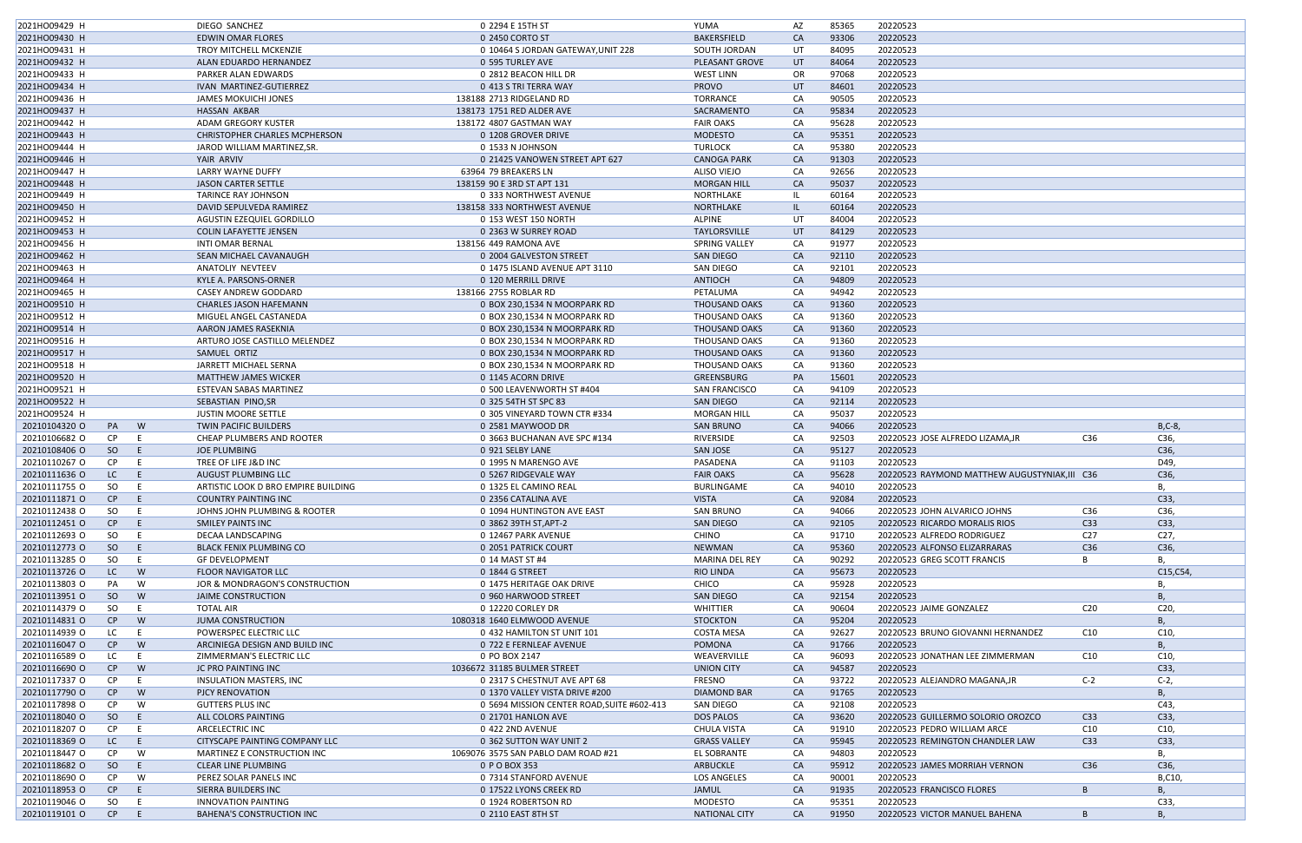| 2021HO09429 H                        | DIEGO SANCHEZ                                      | 0 2294 E 15TH ST                             | YUMA                              | AZ        | 85365          | 20220523                                      |                 |                 |
|--------------------------------------|----------------------------------------------------|----------------------------------------------|-----------------------------------|-----------|----------------|-----------------------------------------------|-----------------|-----------------|
| 2021HO09430 H                        | <b>EDWIN OMAR FLORES</b>                           | 0 2450 CORTO ST                              | BAKERSFIELD                       | <b>CA</b> | 93306          | 20220523                                      |                 |                 |
| 2021HO09431 H                        | <b>TROY MITCHELL MCKENZIE</b>                      | 0 10464 S JORDAN GATEWAY, UNIT 228           | SOUTH JORDAN                      | UT        | 84095          | 20220523                                      |                 |                 |
| 2021HO09432 H                        | ALAN EDUARDO HERNANDEZ                             | 0 595 TURLEY AVE                             | PLEASANT GROVE                    | UT        | 84064          | 20220523                                      |                 |                 |
| 2021HO09433 H                        | PARKER ALAN EDWARDS                                | 0 2812 BEACON HILL DR                        | <b>WEST LINN</b>                  | OR        | 97068          | 20220523                                      |                 |                 |
| 2021HO09434 H                        | IVAN MARTINEZ-GUTIERREZ                            | 0 413 S TRI TERRA WAY                        | <b>PROVO</b>                      | UT        | 84601          | 20220523                                      |                 |                 |
| 2021HO09436 H                        | <b>JAMES MOKUICHI JONES</b>                        | 138188 2713 RIDGELAND RD                     | <b>TORRANCE</b>                   | CA        | 90505          | 20220523                                      |                 |                 |
| 2021HO09437 H                        | <b>HASSAN AKBAR</b>                                | 138173 1751 RED ALDER AVE                    | SACRAMENTO                        | <b>CA</b> | 95834          | 20220523                                      |                 |                 |
| 2021HO09442 H                        | ADAM GREGORY KUSTER                                | 138172 4807 GASTMAN WAY                      | <b>FAIR OAKS</b>                  | CA        | 95628          | 20220523                                      |                 |                 |
| 2021HO09443 H                        | <b>CHRISTOPHER CHARLES MCPHERSON</b>               | 0 1208 GROVER DRIVE                          | <b>MODESTO</b>                    | CA        | 95351          | 20220523                                      |                 |                 |
| 2021HO09444 H                        | JAROD WILLIAM MARTINEZ.SR.                         | 0 1533 N JOHNSON                             | <b>TURLOCK</b>                    | CA        | 95380          | 20220523                                      |                 |                 |
| 2021HO09446 H                        | YAIR ARVIV                                         | 0 21425 VANOWEN STREET APT 627               | <b>CANOGA PARK</b>                | CA        | 91303          | 20220523                                      |                 |                 |
| 2021HO09447 H                        | <b>LARRY WAYNE DUFFY</b>                           | 63964 79 BREAKERS LN                         | <b>ALISO VIEJO</b>                | CA        | 92656          | 20220523                                      |                 |                 |
| 2021HO09448 H                        | <b>JASON CARTER SETTLE</b>                         | 138159 90 E 3RD ST APT 131                   | <b>MORGAN HILL</b>                | CA        | 95037          | 20220523                                      |                 |                 |
| 2021HO09449 H                        | <b>TARINCE RAY JOHNSON</b>                         | 0 333 NORTHWEST AVENUE                       | NORTHLAKE                         |           | 60164          | 20220523                                      |                 |                 |
| 2021HO09450 H                        | DAVID SEPULVEDA RAMIREZ                            | 138158 333 NORTHWEST AVENUE                  | NORTHLAKE                         | -IL       | 60164          | 20220523                                      |                 |                 |
| 2021HO09452 H                        | <b>AGUSTIN EZEQUIEL GORDILLO</b>                   | 0 153 WEST 150 NORTH                         | <b>ALPINE</b>                     | UT        | 84004          | 20220523                                      |                 |                 |
| 2021HO09453 H                        | <b>COLIN LAFAYETTE JENSEN</b>                      | 0 2363 W SURREY ROAD                         | TAYLORSVILLE                      | UT        | 84129          | 20220523                                      |                 |                 |
| 2021HO09456 H                        | <b>INTI OMAR BERNAL</b>                            | 138156 449 RAMONA AVE                        | SPRING VALLEY                     | CA        | 91977          | 20220523                                      |                 |                 |
| 2021HO09462 H                        | SEAN MICHAEL CAVANAUGH                             | 0 2004 GALVESTON STREET                      | SAN DIEGO                         | CA        | 92110          | 20220523                                      |                 |                 |
| 2021HO09463 H                        | ANATOLIY NEVTEEV                                   | 0 1475 ISLAND AVENUE APT 3110                | SAN DIEGO                         | CA        | 92101          | 20220523                                      |                 |                 |
| 2021HO09464 H                        | KYLE A. PARSONS-ORNER                              | 0 120 MERRILL DRIVE                          | <b>ANTIOCH</b>                    | CA        | 94809          | 20220523                                      |                 |                 |
| 2021HO09465 H                        | CASEY ANDREW GODDARD                               | 138166 2755 ROBLAR RD                        | PETALUMA                          | CA        | 94942          | 20220523                                      |                 |                 |
| 2021HO09510 H                        | CHARLES JASON HAFEMANN                             | 0 BOX 230,1534 N MOORPARK RD                 | <b>THOUSAND OAKS</b>              | CA        | 91360          | 20220523                                      |                 |                 |
| 2021HO09512 H                        | MIGUEL ANGEL CASTANEDA                             | 0 BOX 230,1534 N MOORPARK RD                 | THOUSAND OAKS                     | CA        | 91360          | 20220523                                      |                 |                 |
| 2021HO09514 H                        | AARON JAMES RASEKNIA                               | 0 BOX 230,1534 N MOORPARK RD                 | <b>THOUSAND OAKS</b>              | CA        | 91360          | 20220523                                      |                 |                 |
| 2021HO09516 H                        | ARTURO JOSE CASTILLO MELENDEZ                      | 0 BOX 230,1534 N MOORPARK RD                 | THOUSAND OAKS                     | CA        | 91360          | 20220523                                      |                 |                 |
| 2021HO09517 H                        | SAMUEL ORTIZ                                       | 0 BOX 230,1534 N MOORPARK RD                 | <b>THOUSAND OAKS</b>              | CA        | 91360          | 20220523                                      |                 |                 |
| 2021HO09518 H                        | JARRETT MICHAEL SERNA                              | 0 BOX 230,1534 N MOORPARK RD                 | THOUSAND OAKS                     | CA        | 91360          | 20220523                                      |                 |                 |
| 2021HO09520 H                        | <b>MATTHEW JAMES WICKER</b>                        | 0 1145 ACORN DRIVE                           | <b>GREENSBURG</b>                 | PA        | 15601          | 20220523                                      |                 |                 |
| 2021HO09521 H                        | ESTEVAN SABAS MARTINEZ                             | 0 500 LEAVENWORTH ST #404                    | <b>SAN FRANCISCO</b>              | CA        | 94109          | 20220523                                      |                 |                 |
| 2021HO09522 H                        | SEBASTIAN PINO, SR                                 | 0 325 54TH ST SPC 83                         | SAN DIEGO                         | CA        | 92114          | 20220523                                      |                 |                 |
| 2021HO09524 H                        | <b>JUSTIN MOORE SETTLE</b>                         | 0 305 VINEYARD TOWN CTR #334                 | <b>MORGAN HILL</b>                | CA        | 95037          | 20220523                                      |                 |                 |
| 20210104320 O<br>W<br>PA             | <b>TWIN PACIFIC BUILDERS</b>                       | 0 2581 MAYWOOD DR                            | <b>SAN BRUNO</b>                  | CA        | 94066          | 20220523                                      |                 | $B, C-8$        |
| 20210106682 O<br>CP.<br>E            | CHEAP PLUMBERS AND ROOTER                          | 0 3663 BUCHANAN AVE SPC #134                 | RIVERSIDE                         | CA        | 92503          | 20220523 JOSE ALFREDO LIZAMA, JR              | C36             | C36,            |
| 20210108406 O<br>SO<br>E             | <b>JOE PLUMBING</b>                                | 0 921 SELBY LANE                             | <b>SAN JOSE</b>                   | CA        | 95127          | 20220523                                      |                 | C36,            |
| CP.                                  |                                                    |                                              |                                   | CA        |                | 20220523                                      |                 |                 |
| 20210110267 O                        | TREE OF LIFE J&D INC<br><b>AUGUST PLUMBING LLC</b> | 0 1995 N MARENGO AVE<br>0 5267 RIDGEVALE WAY | PASADENA<br><b>FAIR OAKS</b>      |           | 91103<br>95628 | 20220523 RAYMOND MATTHEW AUGUSTYNIAK, III C36 |                 | D49,            |
| 20210111636 O<br>LC<br>20210111755 O |                                                    |                                              |                                   | CA        |                |                                               |                 | C36,            |
| SO                                   | ARTISTIC LOOK D BRO EMPIRE BUILDING                | 0 1325 EL CAMINO REAL                        | <b>BURLINGAME</b><br><b>VISTA</b> | CA        | 94010<br>92084 | 20220523<br>20220523                          |                 | υ,              |
| 20210111871 0<br>CP<br>E.            | COUNTRY PAINTING INC                               | 0 2356 CATALINA AVE                          |                                   | CA        |                |                                               |                 | C33,            |
| 20210112438 O<br>SO.<br>E.           | JOHNS JOHN PLUMBING & ROOTER                       | 0 1094 HUNTINGTON AVE EAST                   | <b>SAN BRUNO</b>                  | CA        | 94066          | 20220523 JOHN ALVARICO JOHNS                  | C36             | C36,            |
| 20210112451 O<br>CP<br>E             | <b>SMILEY PAINTS INC</b>                           | 0 3862 39TH ST, APT-2                        | SAN DIEGO                         | CA        | 92105          | 20220523 RICARDO MORALIS RIOS                 | C <sub>33</sub> | C33,            |
| 20210112693 O<br>SO<br>E.            | DECAA LANDSCAPING                                  | 0 12467 PARK AVENUE                          | <b>CHINO</b>                      | CA        | 91710          | 20220523 ALFREDO RODRIGUEZ                    | C <sub>27</sub> | C <sub>27</sub> |
| 20210112773 O<br><sub>SO</sub><br>E  | <b>BLACK FENIX PLUMBING CO</b>                     | 0 2051 PATRICK COURT                         | <b>NEWMAN</b>                     | CA        | 95360          | 20220523 ALFONSO ELIZARRARAS                  | C36             | C36,            |
| 20210113285 O<br>SO<br>E             | <b>GF DEVELOPMENT</b>                              | 0 14 MAST ST #4                              | <b>MARINA DEL REY</b>             | CA        | 90292          | 20220523 GREG SCOTT FRANCIS                   |                 | В.              |
| 20210113726 O<br>LC.<br>W            | <b>FLOOR NAVIGATOR LLC</b>                         | 0 1844 G STREET                              | <b>RIO LINDA</b>                  | <b>CA</b> | 95673          | 20220523                                      |                 | C15,C54         |
| 20210113803 O<br>PA<br>W             | JOR & MONDRAGON'S CONSTRUCTION                     | 0 1475 HERITAGE OAK DRIVE                    | CHICO                             | CA        | 95928          | 20220523                                      |                 | B               |
| 20210113951 O<br>SO.<br>W            | <b>JAIME CONSTRUCTION</b>                          | 0 960 HARWOOD STREET                         | SAN DIEGO                         | CA        | 92154          | 20220523                                      |                 | Β,              |
| 20210114379 O<br><b>SO</b><br>E      | <b>TOTAL AIR</b>                                   | 0 12220 CORLEY DR                            | WHITTIER                          | CA        | 90604          | 20220523 JAIME GONZALEZ                       | C <sub>20</sub> | C20,            |
| 20210114831 O<br>W<br>CP             | <b>JUMA CONSTRUCTION</b>                           | 1080318 1640 ELMWOOD AVENUE                  | <b>STOCKTON</b>                   | CA        | 95204          | 20220523                                      |                 | В,              |
| 20210114939 O<br>LC<br>E.            | POWERSPEC ELECTRIC LLC                             | 0 432 HAMILTON ST UNIT 101                   | <b>COSTA MESA</b>                 | CA        | 92627          | 20220523 BRUNO GIOVANNI HERNANDEZ             | C10             | C10,            |
| 20210116047 O<br>W<br>CP             | ARCINIEGA DESIGN AND BUILD INC                     | 0 722 E FERNLEAF AVENUE                      | POMONA                            | <b>CA</b> | 91766          | 20220523                                      |                 | В,              |
| 20210116589 O<br>LC<br>E.            | ZIMMERMAN'S ELECTRIC LLC                           | 0 PO BOX 2147                                | WEAVERVILLE                       | CA        | 96093          | 20220523 JONATHAN LEE ZIMMERMAN               | C10             | C10,            |
| 20210116690 O<br>W<br>CP             | JC PRO PAINTING INC                                | 1036672 31185 BULMER STREET                  | <b>UNION CITY</b>                 | CA        | 94587          | 20220523                                      |                 | C33,            |
| 20210117337 O<br>CP<br>E             | INSULATION MASTERS, INC.                           | 0 2317 S CHESTNUT AVE APT 68                 | FRESNO                            | CA        | 93722          | 20220523 ALEJANDRO MAGANA, JR                 | $C-2$           | $C-2$ ,         |
| 20210117790 O<br>W<br>CP             | PJCY RENOVATION                                    | 0 1370 VALLEY VISTA DRIVE #200               | DIAMOND BAR                       | CA        | 91765          | 20220523                                      |                 | Β,              |
| 20210117898 O<br>CP<br>W             | <b>GUTTERS PLUS INC</b>                            | 0 5694 MISSION CENTER ROAD, SUITE #602-413   | SAN DIEGO                         | CA        | 92108          | 20220523                                      |                 | C43,            |
| 20210118040 O<br>SO.<br>E            | ALL COLORS PAINTING                                | 0 21701 HANLON AVE                           | <b>DOS PALOS</b>                  | <b>CA</b> | 93620          | 20220523 GUILLERMO SOLORIO OROZCO             | C33             | C33,            |
| 20210118207 O<br>CP<br>E.            | ARCELECTRIC INC                                    | 0 422 2ND AVENUE                             | CHULA VISTA                       | CA        | 91910          | 20220523 PEDRO WILLIAM ARCE                   | C10             | C10,            |
| 20210118369 O<br>LC.<br>E.           | CITYSCAPE PAINTING COMPANY LLC                     | 0 362 SUTTON WAY UNIT 2                      | <b>GRASS VALLEY</b>               | <b>CA</b> | 95945          | 20220523 REMINGTON CHANDLER LAW               | C33             | C33,            |
| 20210118447 O<br>CP<br>W             | MARTINEZ E CONSTRUCTION INC                        | 1069076 3575 SAN PABLO DAM ROAD #21          | EL SOBRANTE                       | CA        | 94803          | 20220523                                      |                 | В,              |
| 20210118682 O<br>SO.<br>E            | <b>CLEAR LINE PLUMBING</b>                         | 0 P O BOX 353                                | ARBUCKLE                          | <b>CA</b> | 95912          | 20220523 JAMES MORRIAH VERNON                 | C36             | C36,            |
| 20210118690 O<br>CP.<br>W            | PEREZ SOLAR PANELS INC                             | 0 7314 STANFORD AVENUE                       | <b>LOS ANGELES</b>                | CA        | 90001          | 20220523                                      |                 | B,C10,          |
|                                      |                                                    |                                              |                                   |           |                |                                               |                 |                 |
| 20210118953 O<br>CP<br>E             | SIERRA BUILDERS INC                                | 0 17522 LYONS CREEK RD                       | <b>JAMUL</b>                      | <b>CA</b> | 91935          | 20220523 FRANCISCO FLORES                     | B               | В,              |
| 20210119046 O<br>SO<br>E.            | INNOVATION PAINTING                                | 0 1924 ROBERTSON RD                          | MODESTO                           | CA        | 95351          | 20220523                                      |                 | C33,            |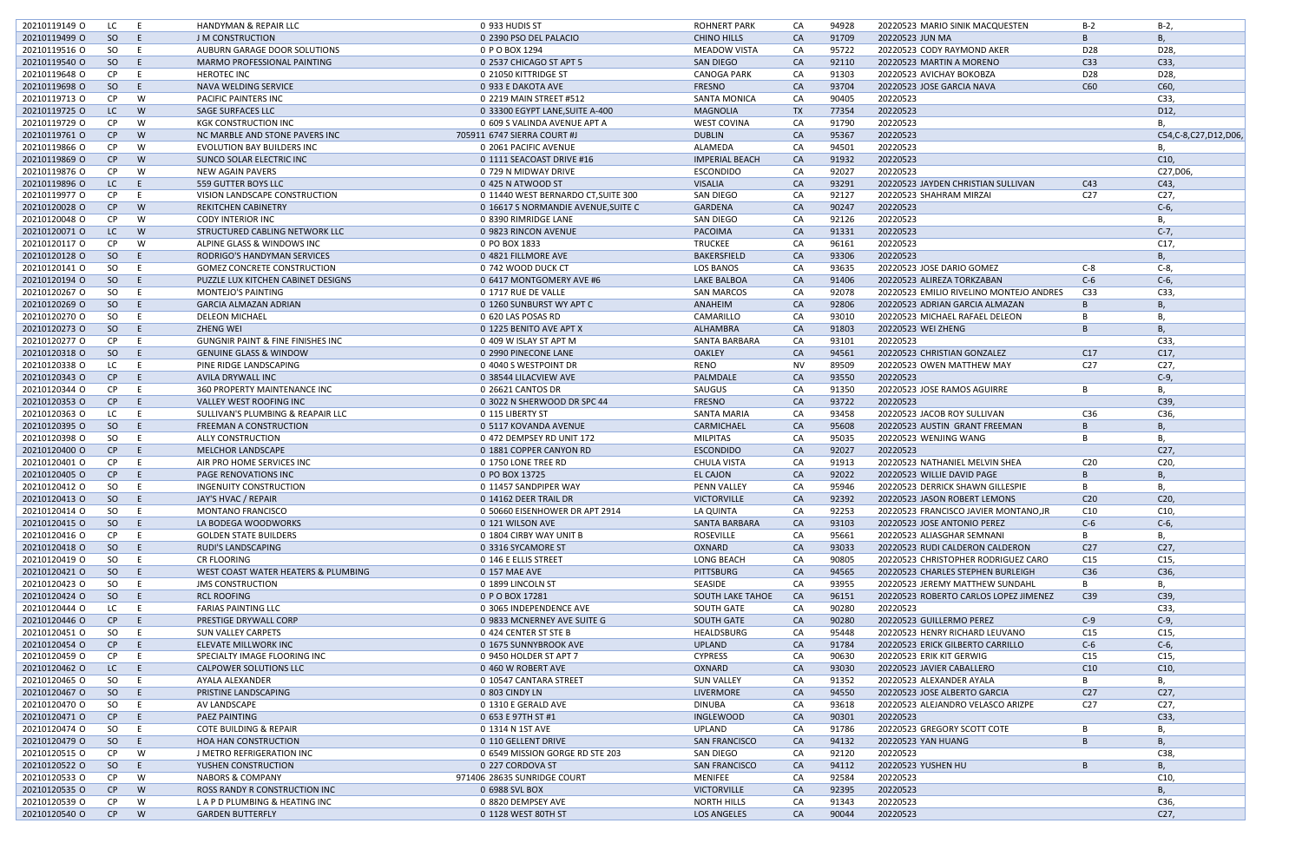| 20210119149 O | LC.           | - E | <b>HANDYMAN &amp; REPAIR LLC</b>             | 0 933 HUDIS ST                      | <b>ROHNERT PARK</b>     | CA        | 94928 | 20220523 MARIO SINIK MACQUESTEN         | $B-2$           | B-2,                     |
|---------------|---------------|-----|----------------------------------------------|-------------------------------------|-------------------------|-----------|-------|-----------------------------------------|-----------------|--------------------------|
| 20210119499 O | SO            | E   | <b>J M CONSTRUCTION</b>                      | 0 2390 PSO DEL PALACIO              | <b>CHINO HILLS</b>      | CA        | 91709 | 20220523 JUN MA                         | B.              | В.                       |
| 20210119516 O | <sub>SO</sub> | E   | AUBURN GARAGE DOOR SOLUTIONS                 | 0 P O BOX 1294                      | <b>MEADOW VISTA</b>     | CA        | 95722 | 20220523 CODY RAYMOND AKER              | D <sub>28</sub> | D28,                     |
| 20210119540 O | SO            | E   | MARMO PROFESSIONAL PAINTING                  | 0 2537 CHICAGO ST APT 5             | SAN DIEGO               | CA        | 92110 | 20220523 MARTIN A MORENO                | C33             | C33,                     |
| 20210119648 O | CP            | - E | <b>HEROTEC INC</b>                           | 0 21050 KITTRIDGE ST                | <b>CANOGA PARK</b>      | CA        | 91303 | 20220523 AVICHAY BOKOBZA                | D <sub>28</sub> | D28,                     |
| 20210119698 O | SO            | E   | NAVA WELDING SERVICE                         | 0 933 E DAKOTA AVE                  | <b>FRESNO</b>           | CA        | 93704 | 20220523 JOSE GARCIA NAVA               | C60             | C60,                     |
| 20210119713 O | CP            | W   | <b>PACIFIC PAINTERS INC</b>                  | 0 2219 MAIN STREET #512             | <b>SANTA MONICA</b>     | CA        | 90405 | 20220523                                |                 | C33,                     |
| 20210119725 O | LC            | W   | SAGE SURFACES LLC                            | 0 33300 EGYPT LANE, SUITE A-400     | <b>MAGNOLIA</b>         | <b>TX</b> | 77354 | 20220523                                |                 | D12,                     |
| 20210119729 O | CP            | W   | <b>KGK CONSTRUCTION INC</b>                  | 0 609 S VALINDA AVENUE APT A        | <b>WEST COVINA</b>      | CA        | 91790 | 20220523                                |                 | В.                       |
| 20210119761 O | CP            | W   | NC MARBLE AND STONE PAVERS INC               | 705911 6747 SIERRA COURT #J         | <b>DUBLIN</b>           | CA        | 95367 | 20220523                                |                 | C54, C-8, C27, D12, D06, |
| 20210119866 O | <b>CP</b>     | W   | <b>EVOLUTION BAY BUILDERS INC</b>            | 0 2061 PACIFIC AVENUE               | ALAMEDA                 | CA        | 94501 | 20220523                                |                 |                          |
| 20210119869 O | CP            | W   | SUNCO SOLAR ELECTRIC INC                     | 0 1111 SEACOAST DRIVE #16           | <b>IMPERIAL BEACH</b>   | <b>CA</b> | 91932 | 20220523                                |                 | C10,                     |
| 20210119876 O | CP            | W   | NEW AGAIN PAVERS                             | 0 729 N MIDWAY DRIVE                | <b>ESCONDIDO</b>        | CA        | 92027 | 20220523                                |                 | C27,D06,                 |
| 20210119896 O | LC.           | E   | 559 GUTTER BOYS LLC                          | 0 425 N ATWOOD ST                   | <b>VISALIA</b>          | CA        | 93291 | 20220523 JAYDEN CHRISTIAN SULLIVAN      | C43             | C43,                     |
| 20210119977 O | CP            | - E | VISION LANDSCAPE CONSTRUCTION                | 0 11440 WEST BERNARDO CT, SUITE 300 | SAN DIEGO               | CA        | 92127 | 20220523 SHAHRAM MIRZAI                 | C <sub>27</sub> | C27,                     |
| 20210120028 O | CP            | W   | <b>REKITCHEN CABINETRY</b>                   | 0 16617 S NORMANDIE AVENUE, SUITE C | GARDENA                 | CA        | 90247 | 20220523                                |                 | $C-6$                    |
| 20210120048 O | CP            | W   | <b>CODY INTERIOR INC</b>                     | 0 8390 RIMRIDGE LANE                | SAN DIEGO               | CA        | 92126 | 20220523                                |                 | В.                       |
| 20210120071 0 | LC.           | W   | STRUCTURED CABLING NETWORK LLC               | 0 9823 RINCON AVENUE                | PACOIMA                 | <b>CA</b> | 91331 | 20220523                                |                 | $C-7$                    |
| 20210120117 0 | CP            | W   | ALPINE GLASS & WINDOWS INC                   | 0 PO BOX 1833                       | <b>TRUCKEE</b>          | CA        | 96161 | 20220523                                |                 | C17,                     |
|               |               | - E |                                              |                                     | <b>BAKERSFIELD</b>      | <b>CA</b> | 93306 | 20220523                                |                 |                          |
| 20210120128 O | SO            |     | RODRIGO'S HANDYMAN SERVICES                  | 0 4821 FILLMORE AVE                 |                         |           |       |                                         |                 | В.                       |
| 20210120141 O | SO            | E   | <b>GOMEZ CONCRETE CONSTRUCTION</b>           | 0 742 WOOD DUCK CT                  | <b>LOS BANOS</b>        | CA        | 93635 | 20220523 JOSE DARIO GOMEZ               | $C-8$           | C-8,                     |
| 20210120194 O | SO            | -E  | PUZZLE LUX KITCHEN CABINET DESIGNS           | 0 6417 MONTGOMERY AVE #6            | LAKE BALBOA             | <b>CA</b> | 91406 | 20220523 ALIREZA TORKZABAN              | $C-6$           | $C-6$                    |
| 20210120267 O | SO.           | E   | <b>MONTEJO'S PAINTING</b>                    | 0 1717 RUE DE VALLE                 | <b>SAN MARCOS</b>       | CA        | 92078 | 20220523 EMILIO RIVELINO MONTEJO ANDRES | C <sub>33</sub> | C33,                     |
| 20210120269 O | SO            | E   | <b>GARCIA ALMAZAN ADRIAN</b>                 | 0 1260 SUNBURST WY APT C            | ANAHEIM                 | CA        | 92806 | 20220523 ADRIAN GARCIA ALMAZAN          | B               | В.                       |
| 20210120270 O | <sub>SO</sub> | - E | <b>DELEON MICHAEL</b>                        | 0 620 LAS POSAS RD                  | CAMARILLO               | CA        | 93010 | 20220523 MICHAEL RAFAEL DELEON          |                 | B                        |
| 20210120273 O | SO            | E   | ZHENG WEI                                    | 0 1225 BENITO AVE APT X             | ALHAMBRA                | CA        | 91803 | 20220523 WEI ZHENG                      | B               | <b>B.</b>                |
| 20210120277 O | CP            | E   | <b>GUNGNIR PAINT &amp; FINE FINISHES INC</b> | 0 409 W ISLAY ST APT M              | SANTA BARBARA           | CA        | 93101 | 20220523                                |                 | C33                      |
| 20210120318 O | SO            | -E  | <b>GENUINE GLASS &amp; WINDOW</b>            | 0 2990 PINECONE LANE                | <b>OAKLEY</b>           | CA        | 94561 | 20220523 CHRISTIAN GONZALEZ             | C17             | C17,                     |
| 20210120338 O | LC.           | - E | PINE RIDGE LANDSCAPING                       | 0 4040 S WESTPOINT DR               | <b>RENO</b>             | <b>NV</b> | 89509 | 20220523 OWEN MATTHEW MAY               | C27             | C27,                     |
| 20210120343 O | CP            | - E | AVILA DRYWALL INC                            | 0 38544 LILACVIEW AVE               | PALMDALE                | CA        | 93550 | 20220523                                |                 | $C-9$                    |
| 20210120344 O | <b>CP</b>     | -E  | 360 PROPERTY MAINTENANCE INC                 | 0 26621 CANTOS DR                   | SAUGUS                  | CA        | 91350 | 20220523 JOSE RAMOS AGUIRRE             | B               | В,                       |
| 20210120353 O | CP            | -E  | VALLEY WEST ROOFING INC                      | 0 3022 N SHERWOOD DR SPC 44         | <b>FRESNO</b>           | <b>CA</b> | 93722 | 20220523                                |                 | C39,                     |
| 20210120363 O | LC            | E   | SULLIVAN'S PLUMBING & REAPAIR LLC            | 0 115 LIBERTY ST                    | SANTA MARIA             | CA        | 93458 | 20220523 JACOB ROY SULLIVAN             | C36             | C36,                     |
| 20210120395 O | SO            | E   | FREEMAN A CONSTRUCTION                       | 0 5117 KOVANDA AVENUE               | CARMICHAEL              | <b>CA</b> | 95608 | 20220523 AUSTIN GRANT FREEMAN           | B               | В.                       |
| 20210120398 O | <sub>SO</sub> | - E | ALLY CONSTRUCTION                            | 0 472 DEMPSEY RD UNIT 172           | <b>MILPITAS</b>         | CA        | 95035 | 20220523 WENJING WANG                   | B               | В,                       |
| 20210120400 O | CP            | -E  | <b>MELCHOR LANDSCAPE</b>                     | 0 1881 COPPER CANYON RD             | <b>ESCONDIDO</b>        | CA        | 92027 | 20220523                                |                 | C27,                     |
| 20210120401 O | CP            | -E  | AIR PRO HOME SERVICES INC                    | 0 1750 LONE TREE RD                 | <b>CHULA VISTA</b>      | CA        | 91913 | 20220523 NATHANIEL MELVIN SHEA          | C <sub>20</sub> | C20,                     |
| 20210120405 O | CP            | E   | <b>PAGE RENOVATIONS INC</b>                  | 0 PO BOX 13725                      | EL CAJON                | <b>CA</b> | 92022 | 20220523 WILLIE DAVID PAGE              | B               | <b>B.</b>                |
| 20210120412 0 | SO            | E   | INGENUITY CONSTRUCTION                       | 0 11457 SANDPIPER WAY               | <b>PENN VALLEY</b>      | CA        | 95946 | 20220523 DERRICK SHAWN GILLESPIE        | B.              | В.                       |
| 20210120413 O | SO.           | E.  | JAY'S HVAC / REPAIR                          | 0 14162 DEER TRAIL DR               | <b>VICTORVILLE</b>      | CA        | 92392 | 20220523 JASON ROBERT LEMONS            | C <sub>20</sub> | C20,                     |
| 20210120414 O | SO            | - E | <b>MONTANO FRANCISCO</b>                     | 0 50660 EISENHOWER DR APT 2914      | LA QUINTA               | CA        | 92253 | 20220523 FRANCISCO JAVIER MONTANO, JR   | C10             | C10,                     |
| 20210120415 O | SO            | -E. | LA BODEGA WOODWORKS                          | 0 121 WILSON AVE                    | SANTA BARBARA           | CA        | 93103 | 20220523 JOSE ANTONIO PEREZ             | $C-6$           | $C-6$ ,                  |
| 20210120416 O | CP            | E   | <b>GOLDEN STATE BUILDERS</b>                 | 0 1804 CIRBY WAY UNIT B             | ROSEVILLE               | CA        | 95661 | 20220523 ALIASGHAR SEMNANI              | B               | В,                       |
| 20210120418 O | SO            | E   | RUDI'S LANDSCAPING                           | 0 3316 SYCAMORE ST                  | OXNARD                  | <b>CA</b> | 93033 | 20220523 RUDI CALDERON CALDERON         | C <sub>27</sub> | C27,                     |
| 20210120419 O | SO            | E   | CR FLOORING                                  | 0 146 E ELLIS STREET                | <b>LONG BEACH</b>       | CA        | 90805 | 20220523 CHRISTOPHER RODRIGUEZ CARO     | C15             | C15,                     |
| 20210120421 O | SO            | E   | WEST COAST WATER HEATERS & PLUMBING          | 0 157 MAE AVE                       | PITTSBURG               | <b>CA</b> | 94565 | 20220523 CHARLES STEPHEN BURLEIGH       | C36             | C36,                     |
| 20210120423 O | SO.           | E   | <b>JMS CONSTRUCTION</b>                      | 0 1899 LINCOLN ST                   | SEASIDE                 | CA        | 93955 | 20220523 JEREMY MATTHEW SUNDAHL         | B               | В,                       |
| 20210120424 O | SO            | E   | <b>RCL ROOFING</b>                           | 0 P O BOX 17281                     | <b>SOUTH LAKE TAHOE</b> | <b>CA</b> | 96151 | 20220523 ROBERTO CARLOS LOPEZ JIMENEZ   | C39             | C39,                     |
| 20210120444 O | LC            | E   | <b>FARIAS PAINTING LLC</b>                   | 0 3065 INDEPENDENCE AVE             | <b>SOUTH GATE</b>       | CA        | 90280 | 20220523                                |                 | C33,                     |
| 20210120446 O | CP            | E   | <b>PRESTIGE DRYWALL CORP</b>                 | 0 9833 MCNERNEY AVE SUITE G         | <b>SOUTH GATE</b>       | <b>CA</b> | 90280 | 20220523 GUILLERMO PEREZ                | $C-9$           | $C-9$ ,                  |
| 20210120451 O | SO            |     |                                              | 0 424 CENTER ST STE B               | HEALDSBURG              | CA        | 95448 | 20220523 HENRY RICHARD LEUVANO          | C15             |                          |
|               | CP            | E   | <b>SUN VALLEY CARPETS</b>                    |                                     |                         | <b>CA</b> |       |                                         |                 | C15,                     |
| 20210120454 O |               | -E. | ELEVATE MILLWORK INC                         | 0 1675 SUNNYBROOK AVE               | <b>UPLAND</b>           |           | 91784 | 20220523 ERICK GILBERTO CARRILLO        | $C-6$           | $C-6$ ,                  |
| 20210120459 O | CP.           | E   | SPECIALTY IMAGE FLOORING INC                 | 0 9450 HOLDER ST APT 7              | <b>CYPRESS</b>          | CA        | 90630 | 20220523 ERIK KIT GERWIG                | C15             | C15,                     |
| 20210120462 O | LC            | -E  | <b>CALPOWER SOLUTIONS LLC</b>                | 0 460 W ROBERT AVE                  | OXNARD                  | <b>CA</b> | 93030 | 20220523 JAVIER CABALLERO               | C10             | C10,                     |
| 20210120465 O | SO.           | E   | AYALA ALEXANDER                              | 0 10547 CANTARA STREET              | <b>SUN VALLEY</b>       | CA        | 91352 | 20220523 ALEXANDER AYALA                | B               | В,                       |
| 20210120467 O | SO            | E   | PRISTINE LANDSCAPING                         | 0 803 CINDY LN                      | LIVERMORE               | CA        | 94550 | 20220523 JOSE ALBERTO GARCIA            | C27             | C27,                     |
| 20210120470 O | SO.           | E   | AV LANDSCAPE                                 | 0 1310 E GERALD AVE                 | <b>DINUBA</b>           | CA        | 93618 | 20220523 ALEJANDRO VELASCO ARIZPE       | C <sub>27</sub> | C <sub>27</sub>          |
| 20210120471 O | CP            | E   | <b>PAEZ PAINTING</b>                         | 0 653 E 97TH ST #1                  | <b>INGLEWOOD</b>        | <b>CA</b> | 90301 | 20220523                                |                 | C33,                     |
| 20210120474 O | SO            | E   | <b>COTE BUILDING &amp; REPAIR</b>            | 0 1314 N 1ST AVE                    | UPLAND                  | CA        | 91786 | 20220523 GREGORY SCOTT COTE             | B               | В.                       |
| 20210120479 O | SO            | E   | <b>HOA HAN CONSTRUCTION</b>                  | 0 110 GELLENT DRIVE                 | <b>SAN FRANCISCO</b>    | <b>CA</b> | 94132 | 20220523 YAN HUANG                      | B               | В,                       |
| 20210120515 O | CP            | W   | J METRO REFRIGERATION INC                    | 0 6549 MISSION GORGE RD STE 203     | SAN DIEGO               | CA        | 92120 | 20220523                                |                 | C38,                     |
| 20210120522 O | SO            | E   | YUSHEN CONSTRUCTION                          | 0 227 CORDOVA ST                    | SAN FRANCISCO           | CA        | 94112 | 20220523 YUSHEN HU                      | B               | В,                       |
| 20210120533 O | CP            | W   | <b>NABORS &amp; COMPANY</b>                  | 971406 28635 SUNRIDGE COURT         | MENIFEE                 | CA        | 92584 | 20220523                                |                 | C10,                     |
| 20210120535 O | CP            | W   | ROSS RANDY R CONSTRUCTION INC                | 0 6988 SVL BOX                      | <b>VICTORVILLE</b>      | <b>CA</b> | 92395 | 20220523                                |                 | <b>B.</b>                |
| 20210120539 O | CP            | W   | LAPD PLUMBING & HEATING INC                  | 0 8820 DEMPSEY AVE                  | <b>NORTH HILLS</b>      | CA        | 91343 | 20220523                                |                 | C36,                     |
| 20210120540 O | CP            | W   | <b>GARDEN BUTTERFLY</b>                      | 0 1128 WEST 80TH ST                 | <b>LOS ANGELES</b>      | <b>CA</b> | 90044 | 20220523                                |                 | C <sub>27</sub>          |